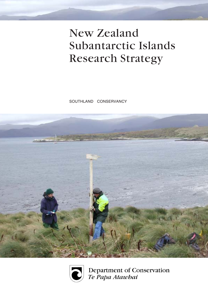# New Zealand Subantarctic Islands Research Strategy

SOUTHLAND CONSERVANCY





Department of Conservation<br>Te Papa Atawhai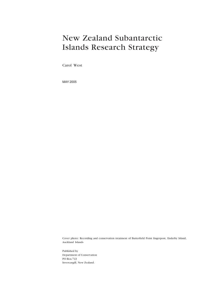# New Zealand Subantarctic Islands Research Strategy

Carol West

MAY 2005

Cover photo: Recording and conservation treatment of Butterfield Point fingerpost, Enderby Island, Auckland Islands

Published by Department of Conservation PO Box 743 Invercargill, New Zealand.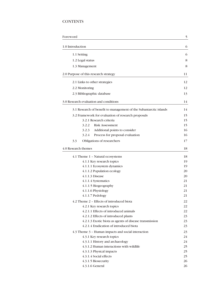# **CONTENTS**

| Foreword                                                          |          |
|-------------------------------------------------------------------|----------|
| 1.0 Introduction                                                  | 6        |
| 1.1 Setting                                                       | 6        |
| 1.2 Legal status                                                  | 8        |
| 1.3 Management                                                    | 8        |
| 2.0 Purpose of this research strategy                             | 11       |
| 2.1 Links to other strategies                                     | 12       |
| 2.2 Monitoring                                                    | 12       |
| 2.3 Bibliographic database                                        | 13       |
| 3.0 Research evaluation and conditions                            | 14       |
|                                                                   |          |
| 3.1 Research of benefit to management of the Subantarctic islands | 14       |
| 3.2 Framework for evaluation of research proposals                | 15       |
| 3.2.1 Research criteria                                           | 15       |
| <b>Risk Assessment</b><br>3.2.2                                   | 15       |
| Additional points to consider<br>3.2.3                            | 16<br>16 |
| 3.2.4<br>Process for proposal evaluation                          |          |
| 3.3<br>Obligations of researchers                                 | 17       |
| 4.0 Research themes                                               | 18       |
| 4.1 Theme 1 - Natural ecosystems                                  | 18       |
| 4.1.1 Key research topics                                         | 19       |
| 4.1.1.1 Ecosystem dynamics                                        | 19       |
| 4.1.1.2 Population ecology                                        | 20       |
| 4.1.1.3 Disease                                                   | 20       |
| 4.1.1.4 Systematics                                               | 21       |
| 4.1.1.5 Biogeography                                              | 21       |
| 4.1.1.6 Physiology                                                | 21       |
| 4.1.1.7 Pedology                                                  | 21       |
| 4.2 Theme 2 - Effects of introduced biota                         | 22       |
| 4.2.1 Key research topics                                         | 22       |
| 4.2.1.1 Effects of introduced animals                             | 22       |
| 4.2.1.2 Effects of introduced plants                              | 23       |
| 4.2.1.3 Exotic biota as agents of disease transmission            | 23       |
| 4.2.1.4 Eradication of introduced biota                           | 23       |
| 4.3 Theme 3 - Human impacts and social interaction                | 23       |
| 4.3.1 Key research topics                                         | 24       |
| 4.3.1.1 History and archaeology                                   | 24       |
| 4.3.1.2 Human interactions with wildlife                          | 25       |
| 4.3.1.3 Physical impacts                                          | 25       |
| 4.3.1.4 Social effects                                            | 25       |
| 4.3.1.5 Biosecurity                                               | 26       |
| 4.3.1.6 General                                                   | 26       |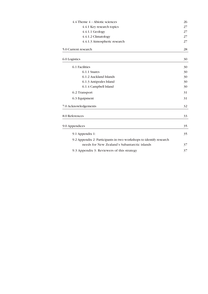| 4.4 Theme 4 - Abiotic sciences                                     | 26 |
|--------------------------------------------------------------------|----|
| 4.4.1 Key research topics                                          | 27 |
| 4.4.1.1 Geology                                                    | 27 |
| 4.4.1.2 Climatology                                                | 27 |
| 4.4.1.3 Atmospheric research                                       | 27 |
| 5.0 Current research                                               | 28 |
| 6.0 Logistics                                                      | 30 |
| 6.1 Facilities                                                     | 30 |
| 6.1.1 Snares                                                       | 30 |
| 6.1.2 Auckland Islands                                             | 30 |
| 6.1.3 Antipodes Island                                             | 30 |
| 6.1.4 Campbell Island                                              | 30 |
| 6.2 Transport                                                      | 31 |
| 6.3 Equipment                                                      | 31 |
| 7.0 Acknowledgements                                               | 32 |
| 8.0 References                                                     | 33 |
| 9.0 Appendices                                                     | 35 |
| 9.1 Appendix 1:                                                    | 35 |
| 9.2 Appendix 2: Participants in two workshops to identify research |    |
| needs for New Zealand's Subantarctic islands                       | 37 |
| 9.3 Appendix 3: Reviewers of this strategy                         | 37 |
|                                                                    |    |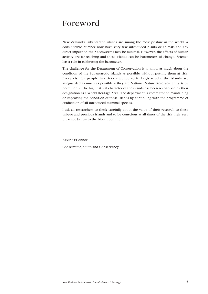# Foreword

New Zealand's Subantarctic islands are among the most pristine in the world. A considerable number now have very few introduced plants or animals and any direct impact on their ecosystems may be minimal. However, the effects of human activity are far-reaching and these islands can be barometers of change. Science has a role in calibrating the barometer.

The challenge for the Department of Conservation is to know as much about the condition of the Subantarctic islands as possible without putting them at risk. Every visit by people has risks attached to it. Legislatively, the islands are safeguarded as much as possible – they are National Nature Reserves, entry is by permit only. The high natural character of the islands has been recognised by their designation as a World Heritage Area. The department is committed to maintaining or improving the condition of these islands by continuing with the programme of eradication of all introduced mammal species.

I ask all researchers to think carefully about the value of their research to these unique and precious islands and to be conscious at all times of the risk their very presence brings to the biota upon them.

Kevin O'Connor

Conservator, Southland Conservancy.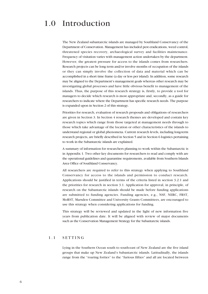# 1.0 Introduction

The New Zealand subantarctic islands are managed by Southland Conservancy of the Department of Conservation. Management has included pest eradications, weed control, threatened species recovery, archaeological survey and facilities maintenance. Frequency of visitation varies with management action undertaken by the department. However, the greatest pressure for access to the islands comes from researchers. Research projects can be long term and/or involve months of occupation of the islands or they can simply involve the collection of data and material which can be accomplished in a short time frame (a day or less per island). In addition, some research may be aligned to the Department's management goals whereas other research may be investigating global processes and have little obvious benefit to management of the islands. Thus, the purpose of this research strategy is, firstly, to provide a tool for managers to decide which research is most appropriate and, secondly, as a guide for researchers to indicate where the Department has specific research needs. The purpose is expanded upon in Section 2 of this strategy.

Priorities for research, evaluation of research proposals and obligations of researchers are given in Section 3. In Section 4 research themes are developed and contain key research topics which range from those targeted at management needs through to those which take advantage of the location or other characteristics of the islands to understand regional or global phenomena. Current research levels, including long-term research projects, are briefly described in Section 5 and in Section 6 logistics pertaining to work in the Subantarctic islands are explained.

A summary of information for researchers planning to work within the Subantarctic is in Appendix 1. Two other key documents for researchers to read and comply with are the operational guidelines and quarantine requirements, available from Southern Islands Area Office of Southland Conservancy.

All researchers are required to refer to this strategy when applying to Southland Conservancy for access to the islands and permission to conduct research. Applications should be justified in terms of the criteria listed in section 3.2.1 and the priorities for research in section 3.1. Application for approval, in principle, of research on the Subantarctic islands should be made before funding applications are submitted to funding agencies. Funding agencies, e.g., NSF, NERC, FRST, MoRST, Marsden Committee and University Grants Committees, are encouraged to use this strategy when considering applications for funding.

This strategy will be reviewed and updated in the light of new information five years from publication date. It will be aligned with review of major documents such as the Conservation Management Strategy for the Subantarctic islands.

### 1.1 SETTING

Lying in the Southern Ocean south to south-east of New Zealand are the five island groups that make up New Zealand's Subantarctic islands. Latitudinally, the islands range from the "roaring forties" to the "furious fifties" and all are located between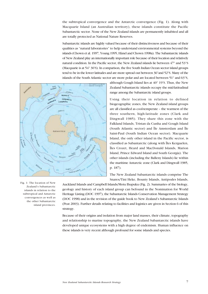the subtropical convergence and the Antarctic convergence (Fig. 1). Along with Macquarie Island (an Australian territory), these islands constitute the Pacific Subantarctic sector. None of the New Zealand islands are permanently inhabited and all are totally protected as National Nature Reserves.

Subantarctic islands are highly valued because of their distinctiveness and because of their qualities as "natural laboratories" to help understand environmental systems beyond the islands (Chown et al. 1997, Young 1995, Hänel and Chown 1998a). The Subantarctic islands of New Zealand play an internationally important role because of their location and relatively natural condition. In the Pacific sector, the New Zealand islands lie between 47° and 53°S (Macquarie is at  $54^{\circ}$  30'S). In comparison, the five South Indian Ocean sector island groups tend to be in the lower latitudes and are more spread out between 36°and 52°S. Many of the islands of the South Atlantic sector are more polar and are located between 51° and 63°S,



although Gough Island lies at  $40^{\circ}$  19'S. Thus, the New Zealand Subantarctic islands occupy the mid-latitudinal range among the Subantarctic island groups.

Using their location in relation to defined biogeographic zones, the New Zealand island groups are all classified as cool-temperate - the warmest of the three southern, high-latitude zones (Clark and Dingwall 1985). They share this zone with the Falkland Islands, Tristan da Cunha and Gough Island (South Atlantic sector) and  $\hat{I}$ le Amsterdam and  $\hat{I}$ le Saint-Paul (South Indian Ocean sector). Macquarie Island, the only other island in the Pacific sector, is classified as Subantarctic (along with Îles Kerguelen, Îles Crozet, Heard and MacDonald Islands, Marion Island, Prince Edward Island and South Georgia). The other islands (including the Balleny Islands) lie within the maritime Antarctic zone (Clark and Dingwall 1985, p. 187).

The New Zealand Subantarctic islands comprise The Snares/Tini Heke, Bounty Islands, Antipodes Islands,

Auckland Islands and Campbell Islands/Motu Ihupuku (Fig. 2). Summaries of the biology, geology and history of each island group can befound in the Nomination for World Heritage Listing (DOC 1997), the Subantarctic Islands Conservation Management Strategy (DOC 1998) and in the revision of the guide book to New Zealand's Subantarctic Islands (Peat 2003). Further details relating to facilities and logistics are given in Section 6 of this strategy.

Because of their origins and isolation from major land masses, their climate, topography and relationship to marine topography, the New Zealand Subantarctic islands have developed unique ecosystems with a high degree of endemism. Human influence on these islands is very recent although profound for some islands and species.

Fig. 1: The location of New Zealand's Subantarctic islands in relation to the subtropical and Antarctic convergences as well as the other Subantarctic island provinces.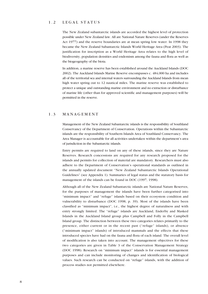### 1.2 LEGAL STATUS

The New Zealand subantarctic islands are accorded the highest level of protection possible under New Zealand law. All are National Nature Reserves (under the Reserves Act 1977) and the reserve boundaries are at mean spring low water. In 1998 they became the New Zealand Subantarctic Islands World Heritage Area (Peat 2003). The justification for inscription as a World Heritage Area relates to the high level of biodiversity, population densities and endemism among the fauna and flora as well as the biogeography of the biota.

In addition, a marine reserve has been established around the Auckland Islands (DOC 2002). The Auckland Islands Marine Reserve encompasses c. 484,000 ha and includes all of the territorial sea and internal waters surrounding the Auckland Islands from mean high water spring out to 12 nautical miles. The marine reserve was established to protect a unique and outstanding marine environment and no extraction or disturbance of marine life (other than for approved scientific and management purposes) will be permitted in the reserve.

### 1.3 MANAGEMENT

Management of the New Zealand Subantarctic islands is the responsibility of Southland Conservancy of the Department of Conservation. Operations within the Subantarctic islands are the responsibility of Southern Islands Area of Southland Conservancy. The Area Manager is accountable for all activities undertaken within the department's area of jurisdiction in the Subantarctic islands.

Entry permits are required to land on any of these islands, since they are Nature Reserves. Research concessions are required for any research proposed for the islands and permits for collection of material are mandatory. Researchers must also adhere to the Department of Conservationís operational standards as outlined in the annually updated document "New Zealand Subantarctic Islands Operational Guidelinesî (see Appendix 1). Summaries of legal status and the statutory basis for management of the islands can be found in DOC (1997, 1998).

Although all of the New Zealand Subantarctic islands are National Nature Reserves, for the purposes of management the islands have been further categorised into "minimum impact" and "refuge" islands based on their ecosystem condition and vulnerability to disturbance (DOC 1998, p. 39). Most of the islands have been classified as "minimum impact", i.e., the highest degree of naturalness and with entry strongly limited. The "refuge" islands are Auckland, Enderby and Masked Islands in the Auckland Island group plus Campbell and Folly in the Campbell Island group. The distinction between these two categories relates primarily to the presence, either current or in the recent past ("refuge" islands), or absence ("minimum impact" islands) of introduced mammals and the effects that these introduced species have had on the fauna and flora of each island. The overall level of modification is also taken into account. The management objectives for these two categories are given in Table 3 of the Conservation Management Strategy (DOC 1998). Research on "minimum impact" islands is for essential management purposes and can include monitoring of changes and identification of biological values. Such research can be conducted on "refuge" islands, with the addition of process studies not permitted elsewhere.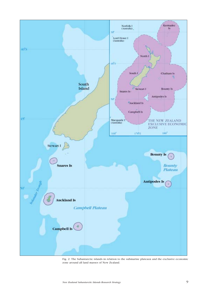

Fig. 2: The Subantarctic islands in relation to the submarine plateaux and the exclusive economic zone around all land masses of New Zealand.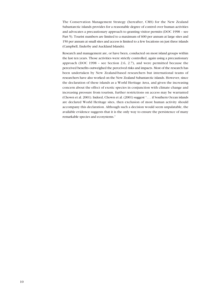The Conservation Management Strategy (hereafter, CMS) for the New Zealand Subantarctic islands provides for a reasonable degree of control over human activities and advocates a precautionary approach to granting visitor permits (DOC 1998 - see Part 5). Tourist numbers are limited to a maximum of 600 per annum at large sites and 150 per annum at small sites and access is limited to a few locations on just three islands (Campbell, Enderby and Auckland Islands).

Research and management are, or have been, conducted on most island groups within the last ten years. Those activities were strictly controlled, again using a precautionary approach (DOC 1998 - see Section 2.6, 2.7), and were permitted because the perceived benefits outweighed the perceived risks and impacts. Most of the research has been undertaken by New Zealand-based researchers but international teams of researchers have also worked on the New Zealand Subantarctic islands. However, since the declaration of these islands as a World Heritage Area, and given the increasing concern about the effect of exotic species in conjunction with climate change and increasing pressure from tourism, further restrictions on access may be warranted (Chown et al. 2001). Indeed, Chown et al. (2001) suggest "... if Southern Ocean islands are declared World Heritage sites, then exclusion of most human activity should accompany this declaration. Although such a decision would seem unpalatable, the available evidence suggests that it is the only way to ensure the persistence of many remarkable species and ecosystems.<sup>"</sup>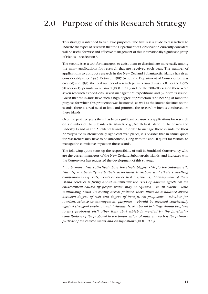# 2.0 Purpose of this Research Strategy

This strategy is intended to fulfil two purposes. The first is as a guide to researchers to indicate the types of research that the Department of Conservation currently considers will be useful for wise and effective management of this internationally significant group of islands – see Section 3.

The second is as a tool for managers, to assist them to discriminate more easily among the many applications for research that are received each year. The number of applications to conduct research in the New Zealand Subantarctic islands has risen considerably since 1995. Between 1987 (when the Department of Conservation was created) and 1995, the total number of research permits issued was c. 60. For the 1997/ 98 season 19 permits were issued (DOC 1998) and for the 2004/05 season there were seven research expeditions, seven management expeditions and 37 permits issued. Given that the islands have such a high degree of protection (and bearing in mind the purpose for which this protection was bestowed) as well as the limited facilities on the islands, there is a real need to limit and prioritise the research which is conducted on these islands.

Over the past five years there has been significant pressure via applications for research on a number of the Subantarctic islands, e.g., North East Island in the Snares and Enderby Island in the Auckland Islands. In order to manage these islands for their primary value as internationally significant wild places, it is possible that an annual quota for researchers may have to be introduced, along with the annual quota for visitors, to manage the cumulative impact on these islands.

The following quote sums up the responsibility of staff in Southland Conservancy who are the current managers of the New Zealand Subantarctic islands, and indicates why the Conservator has requested the development of this strategy:

 $\hat{a}$ ... buman visits collectively pose the single biggest risk [to the Subantarctic islands] - especially with their associated transport and likely travelling companions (e.g., rats, weeds or other pest organisms). Management of these island reserves is firstly about minimising the risks of adverse effects on the environment caused by people which may be equated  $-$  to an extent  $-$  with minimising visits. In setting access policies, there must be a balance struck between degree of risk and degree of benefit. All proposals - whether for tourism, science or management purposes - should be assessed consistently against stringent environmental standards. No special privilege should be given to any proposed visit other than that which is merited by the particular contribution of the proposal to the preservation of nature, which is the primary purpose of the reserve status and classification" (DOC 1998).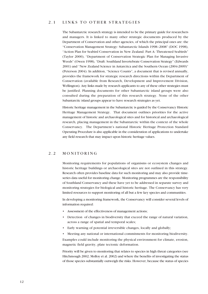# 2.1 LINKS TO OTHER STRATEGIES

The Subantarctic research strategy is intended to be the primary guide for researchers and managers. It is linked to many other strategic documents produced by the Department of Conservation and other agencies, of which the principal ones are: the <sup>"</sup>Conservation Management Strategy: Subantarctic Islands 1998-2008<sup>"</sup> (DOC 1998), "Action Plan for Seabird Conservation in New Zealand. Part A: Threatened Seabirds" (Taylor 2000), "Department of Conservation Strategic Plan for Managing Invasive Weeds" (Owen 1998), "Draft: Southland Invertebrate Conservation Strategy" (Edwards 2001) and "New Zealand Science in Antarctica and the Southern Ocean (2004-2009)" (Peterson 2004). In addition, "Science Counts", a document that is revised annually, provides the framework for strategic research directions within the Department of Conservation (available from Research, Development and Improvement Division, Wellington). Any links made by research applicants to any of these other strategies must be justified. Planning documents for other Subantarctic island groups were also consulted during the preparation of this research strategy. None of the other Subantarctic island groups appear to have research strategies as yet.

Historic heritage management in the Subantarctic is guided by the Conservancy Historic Heritage Management Strategy. That document outlines priorities for the active management of historic and archaeological sites and for historical and archaeological research, placing management in the Subantarctic within the context of the whole Conservancy. The Department's national Historic Heritage Protection Standard Operating Procedure is also applicable in the consideration of applications to undertake any field research that may impact upon historic heritage values.

# 2.2 MONITORING

Monitoring requirements for populations of organisms or ecosystem changes and historic heritage buildings or archaeological sites are not outlined in this strategy. Research often provides baseline data for such monitoring and may also provide timeseries data useful for monitoring change. Monitoring programmes are the responsibility of Southland Conservancy and these have yet to be addressed in separate survey and monitoring strategies for biological and historic heritage. The Conservancy has very limited resources to support monitoring of all but a few key species and communities.

In developing a monitoring framework, the Conservancy will consider several levels of information required:

- Assessment of the effectiveness of management actions;
- Detection of changes in biodiversity that exceed the range of natural variation, across a range of spatial and temporal scales;
- Early warning of potential irreversible changes, locally and globally;
- ï Meeting any national or international commitments for monitoring biodiversity.

Examples could include monitoring the physical environment for climate, erosion, magnetic field gravity, plate tectonic deformation.

Priority will be given to monitoring that relates to species in high threat categories (see Hitchmough 2002; Molloy et al. 2002) and where the benefits of investigating the status of those species substantially outweigh the risks. However, because the status of species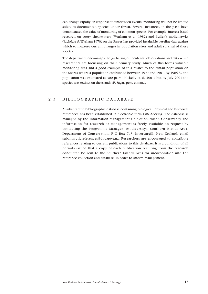can change rapidly, in response to unforeseen events, monitoring will not be limited solely to documented species under threat. Several instances, in the past, have demonstrated the value of monitoring of common species. For example, interest based research on sooty shearwaters (Warham et al. 1982) and Buller's mollymawks (Richdale & Warham 1973) on the Snares has provided invaluable baseline data against which to measure current changes in population sizes and adult survival of these species.

The department encourages the gathering of incidental observations and data while researchers are focussing on their primary study. Much of this forms valuable monitoring data and a good example of this relates to the fantail population on the Snares where a population established between 1977 and 1981. By 1985-87 the population was estimated at 300 pairs (Miskelly et al. 2001) but by July 2001 the species was extinct on the islands (P. Sagar, pers. comm.).

# 2.3 BIBLIOGRAPHIC DATABASE

A Subantarctic bibliographic database containing biological, physical and historical references has been established in electronic form (MS Access). The database is managed by the Information Management Unit of Southland Conservancy and information for research or management is freely available on request by contacting the Programme Manager (Biodiversity), Southern Islands Area, Department of Conservation, P O Box 743, Invercargill, New Zealand, email subantarcticreferences@doc.govt.nz. Researchers are encouraged to contribute references relating to current publications to this database. It is a condition of all permits issued that a copy of each publication resulting from the research conducted be sent to the Southern Islands Area for incorporation into the reference collection and database, in order to inform management.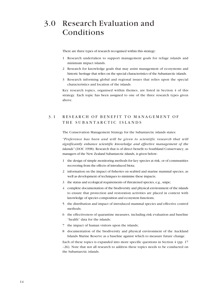# 3.0 Research Evaluation and Conditions

There are three types of research recognised within this strategy:

- 1 Research undertaken to support management goals for refuge islands and minimum impact islands.
- 2 Research for knowledge goals that may assist management of ecosystems and historic heritage that relies on the special characteristics of the Subantarctic islands.
- 3 Research informing global and regional issues that relies upon the special characteristics and location of the islands.

Key research topics, organised within themes, are listed in Section 4 of this strategy. Each topic has been assigned to one of the three research types given above.

# 3.1 RESEARCH OF BENEFIT TO MANAGEMENT OF THE SUBANTARCTIC ISLANDS

The Conservation Management Strategy for the Subantarctic islands states:

"Preference has been and will be given to scientific research that will significantly enhance scientific knowledge and effective management of the islands" (DOC 1998). Research that is of direct benefit to Southland Conservancy, as managers of the New Zealand Subantarctic islands, is given below:

- 1 the design of simple monitoring methods for key species at risk, or of communities recovering from the effects of introduced biota;
- 2 information on the impact of fisheries on seabird and marine mammal species, as well as development of techniques to minimise these impacts;
- 3 the status and ecological requirements of threatened species, e.g., snipe;
- 4 complete documentation of the biodiversity and physical environment of the islands to ensure that protection and restoration activities are placed in context with knowledge of species composition and ecosystem functions;
- 5 the distribution and impact of introduced mammal species and effective control methods;
- 6 the effectiveness of quarantine measures, including risk evaluation and baseline "health" data for the islands:
- 7 the impact of human visitors upon the islands;
- 8 documentation of the biodiversity and physical environment of the Auckland Islands Marine Reserve as a baseline against which to measure future change.

Each of these topics is expanded into more specific questions in Section  $4$  (pp. 17) -26). Note that not all research to address these topics needs to be conducted on the Subantarctic islands.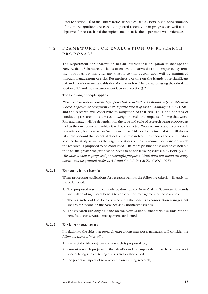Refer to section 2.6 of the Subantarctic islands CMS (DOC 1998, p. 67) for a summary of the more significant research completed recently or in progress, as well as the objectives for research and the implementation tasks the department will undertake.

# 3.2 FRAMEWORK FOR EVALUATION OF RESEARCH PROPOSALS

The Department of Conservation has an international obligation to manage the New Zealand Subantarctic islands to ensure the survival of the unique ecosystems they support. To this end, any threats to this overall goal will be minimised through management of risks. Researchers working on the islands pose significant risk and in order to manage this risk, the research will be evaluated using the criteria in section 3.2.1 and the risk assessment factors in section 3.2.2.

#### The following principle applies:

ìScience activities involving high potential or actual risks should only be approved where a species or ecosystem is in definite threat of loss or damage" (DOC 1998), and the research will contribute to mitigation of that risk. Thus, the benefits of conducting research must always outweigh the risks and impacts of doing that work. Risk and impact will be dependent on the type and scale of research being proposed as well as the environment in which it will be conducted. Work on any island involves high potential risk, but more so on "minimum impact" islands. Departmental staff will always take into account the potential effect of the research on the species and communities selected for study as well as the fragility or status of the environment or island on which the research is proposed to be conducted. The more pristine the island or vulnerable the site, the greater the justification needs to be for allowing visits (DOC 1998, p. 87). ìBecause a visit is proposed for scientific purposes [that] does not mean an entry permit will be granted (refer to 5.1 and 5.3 [of the CMS])." (DOC 1998).

#### 3.2.1 Research criteria

When processing applications for research permits the following criteria will apply, in the order listed:

- 1. The proposed research can only be done on the New Zealand Subantarctic islands and will be of significant benefit to conservation management of those islands.
- 2. The research could be done elsewhere but the benefits to conservation management are greater if done on the New Zealand Subantarctic islands.
- 3. The research can only be done on the New Zealand Subantarctic islands but the benefits to conservation management are limited.

### 3.2.2 Risk Assessment

In relation to the risks that research expeditions may pose, managers will consider the following factors, inter alia:

- 1 status of the island(s) that the research is proposed for;
- 2 current research projects on the island(s) and the impact that these have in terms of species being studied, timing of visits and locations used;
- 3 the potential impact of new research on existing research;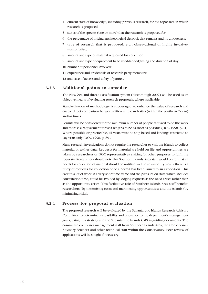- 4 current state of knowledge, including previous research, for the topic area in which research is proposed;
- 5 status of the species (one or more) that the research is proposed for;
- 6 the percentage of original archaeological desposit that remains and its uniqueness;
- 7 type of research that is proposed, e.g., observational or highly invasive/ manipulative;
- 8 amount and type of material requested for collection;
- 9 amount and type of equipment to be used/landed;timing and duration of stay;
- 10 number of personnel involved;
- 11 experience and credentials of research party members;

12 and ease of access and safety of parties.

#### 3.2.3 Additional points to consider

The New Zealand threat classification system (Hitchmough 2002) will be used as an objective means of evaluating research proposals, where applicable.

Standardisation of methodology is encouraged, to enhance the value of research and enable direct comparison between different research sites (within the Southern Ocean) and/or times.

Permits will be considered for the minimum number of people required to do the work and there is a requirement for visit lengths to be as short as possible (DOC 1998, p.84). Where possible or practicable, all visits must be ship-based and landings restricted to day visits only (DOC 1998, p. 89).

Many research investigations do not require the researcher to visit the islands to collect material or gather data. Requests for material are held on file and opportunities are taken by researchers or DOC representatives visiting for other purposes to fulfil the requests. Researchers should note that Southern Islands Area staff would prefer that all needs for collection of material should be notified well in advance. Typically there is a flurry of requests for collection once a permit has been issued to an expedition. This creates a lot of work in a very short time frame and the pressure on staff, which includes consultation time, could be avoided by lodging requests as the need arises rather than as the opportunity arises. This facilitative role of Southern Islands Area staff benefits researchers (by minimising costs and maximising opportunities) and the islands (by minimising risks).

#### 3.2.4 Process for proposal evaluation

The proposed research will be evaluated by the Subantarctic Islands Research Advisory Committee to determine its feasibility and relevance to the department's management goals, using this strategy and the Subantarctic Islands CMS as guiding documents. The committee comprises management staff from Southern Islands Area, the Conservancy Advisory Scientist and other technical staff within the Conservancy. Peer review of applications will be sought if necessary.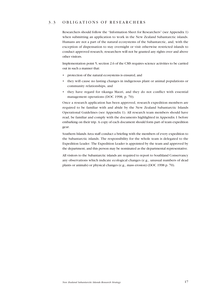# 3.3 OBLIGATIONS OF RESEARCHERS

Researchers should follow the "Information Sheet for Researchers" (see Appendix 1) when submitting an application to work in the New Zealand Subantarctic islands. Humans are not a part of the natural ecosystems of the Subantarctic, and, with the exception of dispensation to stay overnight or visit otherwise restricted islands to conduct approved research, researchers will not be granted any rights over and above other visitors.

Implementation point 5, section 2.6 of the CMS requires science activities to be carried out in such a manner that:

- protection of the natural ecosystems is ensured, and
- ï they will cause no lasting changes in indigenous plant or animal populations or community relationships, and
- they have regard for tikanga Maori, and they do not conflict with essential management operations (DOC 1998, p. 70).

Once a research application has been approved, research expedition members are required to be familiar with and abide by the New Zealand Subantarctic Islands Operational Guidelines (see Appendix 1). All research team members should have read, be familiar and comply with the documents highlighted in Appendix 1 before embarking on their trip. A copy of each document should form part of team expedition gear.

Southern Islands Area staff conduct a briefing with the members of every expedition to the Subantarctic islands. The responsibility for the whole team is delegated to the Expedition Leader. The Expedition Leader is appointed by the team and approved by the department, and this person may be nominated as the departmental representative.

All visitors to the Subantarctic islands are required to report to Southland Conservancy any observations which indicate ecological changes (e.g., unusual numbers of dead plants or animals) or physical changes (e.g., mass erosion) (DOC 1998 p. 70).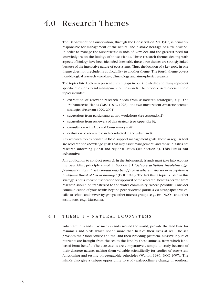# 4.0 Research Themes

The Department of Conservation, through the Conservation Act 1987, is primarily responsible for management of the natural and historic heritage of New Zealand. In order to manage the Subantarctic islands of New Zealand the greatest need for knowledge is on the biology of those islands. Three research themes dealing with aspects of biology have been identified. Inevitably these three themes are strongly linked because of the interactive nature of ecosystems. Thus, the location of a key topic in one theme does not preclude its applicability to another theme. The fourth theme covers non-biological research - geology, climatology and atmospheric research.

The topics listed below represent current gaps in our knowledge and many represent specific questions to aid management of the islands. The process used to derive these topics included:

- extraction of relevant research needs from associated strategies, e.g., the ìSubantarctic Islands CMSî (DOC 1998), the two most recent Antarctic science strategies (Peterson 1999, 2004);
- suggestions from participants at two workshops (see Appendix 2);
- suggestions from reviewers of this strategy (see Appendix 3);
- consultation with Area and Conservancy staff;
- evaluation of known research conducted in the Subantarctic.

Key research topics printed in **bold** support management goals; those in regular font are research for knowledge goals that may assist management; and those in italics are research informing global and regional issues (see Section 3). This list is not exhaustive.

Any application to conduct research in the Subantarctic islands must take into account the overriding principle stated in Section 3.1 "Science activities involving high potential or actual risks should only be approved where a species or ecosystem is in definite threat of loss or damage" (DOC 1998). The fact that a topic is listed in this strategy is not sufficient justification for approval of the research. Benefits derived from research should be transferred to the wider community, where possible. Consider communication of your results beyond peer-reviewed journals via newspaper articles, talks to school and university groups, other interest groups (e.g., iwi, NGOs) and other institutions, (e.g., Museums).

# 4.1 THEME 1 - NATURAL ECOSYSTEMS

Subantarctic islands, like many islands around the world, provide the land base for mammals and birds which spend more than half of their lives at sea. The sea provides their food source and the land their breeding platform. Massive inputs of nutrients are brought from the sea to the land by these animals, from which landbased biota benefit. The ecosystems are comparatively simple to study because of their discrete nature, making them valuable scientifically for studies of ecosystem functioning and testing biogeographic principles (Walton 1986, DOC 1997). The islands also give a unique opportunity to study palaeoclimate change in southern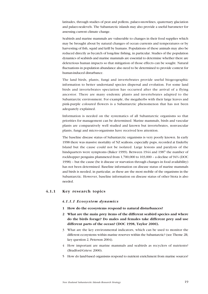latitudes, through studies of peat and pollens, palaeo-snowlines, quaternary glaciation and palaeo-sealevels. The Subantarctic islands may also provide a useful barometer for assessing current climate change.

Seabirds and marine mammals are vulnerable to changes in their food supplies which may be brought about by natural changes of ocean currents and temperatures or by harvesting of fish, squid and krill by humans. Populations of these animals may also be reduced directly as bycatch of long-line fishing, in particular. Studies of the population dynamics of seabirds and marine mammals are essential to determine whether there are deleterious human impacts so that mitigation of those effects can be sought. Natural fluctuations in population abundance also need to be determined to provide context for human-induced disturbance.

The land birds, plants, fungi and invertebrates provide useful biogeographic information to better understand species dispersal and evolution. For some land birds and invertebrates speciation has occurred after the arrival of a flying ancestor. There are many endemic plants and invertebrates adapted to the Subantarctic environment. For example, the megaherbs with their large leaves and pink-purple coloured flowers is a Subantarctic phenomenon that has not been adequately explained.

Information is needed on the systematics of all Subantarctic organisms so that priorities for management can be determined. Marine mammals, birds and vascular plants are comparatively well studied and known but invertebrates, nonvascular plants, fungi and micro-organisms have received less attention.

The baseline disease status of Subantarctic organisms is very poorly known. In early 1998 there was massive mortality of NZ sealions, especially pups, recorded at Enderby Island but the cause could not be isolated. Large lesions and paralysis of the hindquarters were symptoms (Baker 1999). Between 1944 and 1987 the number of rockhopper penguins plummeted from  $1,700,000$  to  $103,000$  – a decline of  $94\%$  (DOC 1998) – but the cause (be it disease or starvation through changes in food availability) has not been determined. Baseline information on disease status of marine mammals and birds is needed, in particular, as these are the most mobile of the organisms in the Subantarctic. However, baseline information on disease status of other biota is also needed.

### 4.1.1 Key research topics

#### 4.1.1.1 Ecosystem dynamics

- 1 How do the ecosystems respond to natural disturbances?
- 2 What are the main prey items of the different seabird species and where do the birds forage? Do males and females take different prey and use different parts of the ocean? (DOC 1998, Taylor 2000).
- 3 What are the key environmental indicators, which can be used to monitor the different ecosystems within marine reserves within the Subantarctic? (see Theme 2B, key question 2, Peterson 2004).
- 4 How important are marine mammals and seabirds as recyclers of nutrients? (Bradford-Grieve 2000).
- 5 How do land-based organisms respond to nutrient enrichment from marine sources?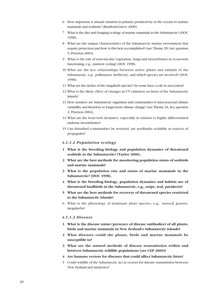- 6 How important is annual variation in primary productivity in the oceans to marine mammals and seabirds? (Bradford-Grieve 2000).
- 7 What is the diet and foraging ecology of marine mammals in the Subantarctic? (DOC 1998).
- 8 What are the unique characteristics of the Subantarctic marine envronment that require protection and how is this best accomplished? (see Theme 2D, key question 5, Peterson 2004).
- 9 What is the role of nonvascular vegetation, fungi and invertebrates in ecosystem functioning, e.g., nutrient cycling? (DOC 1998).
- 10 What are the key relationships between native plants and animals of the Subantarctic, e.g., pollination, herbivory, and which species are involved? (DOC 1998).
- 11 What are the niches of the megaherb species? Do some have a role in succession?
- 12 What is the likely effect of changes in UV radiation on biota of the Subantarctic islands?
- 13 How sensitive are Subantarctic organisms and communities to inter-seasonal climate variability and therefore to longer-term climate change? (see Theme 3A, key question 2, Peterson 2004).
- 14 What are the food web dynamics, especially in relation to highly differentiated endemic invertebrates?
- 15 Can disturbed communities be restored; are seedbanks available as sources of propagules?

#### 4.1.1.2 Population ecology

- 1 What is the breeding biology and population dynamics of threatened seabirds in the Subantarctic? (Taylor 2000).
- 2 What are the best methods for monitoring population status of seabirds and marine mammals?
- 3 What is the population size and status of marine mammals in the Subantarctic? (DOC 1998).
- 4 What is the breeding biology, population dynamics and habitat use of threatened landbirds in the Subantarctic, e.g., snipe, teal, parakeets?
- 5 What are the best methods for recovery of threatened species restricted to the Subantarctic islands?
- 6 What is the phenology of dominant plant species, e.g., tussock grasses, megaherbs?

#### 4.1.1.3 Disease

- 1 What is the disease status (presence of disease antibodies) of all plants, birds and marine mammals in New Zealand's Subantarctic islands?
- 2 What diseases could the plants, birds and marine mammals be susceptible to?
- 3 What are the natural methods of disease transmission within and between Subantarctic wildlife populations (see CEP 2000)?
- 4 Are humans vectors for diseases that could affect Subantarctic biota?
- 5 Could wildlife of the Subantarctic act as vectors for disease transmission between New Zealand and Antarctica?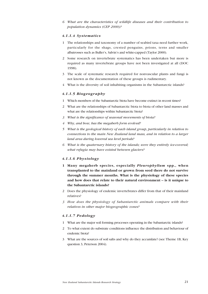6 What are the characteristics of wildlife diseases and their contribution to population dynamics (CEP 2000)?

#### 4.1.1.4 Systematics

- 1 The relationships and taxonomy of a number of seabird taxa need further work, particularly for the shags, crested penguins, prions, terns and smaller albatrosses such as Buller's, Salvin's and white-capped (Taylor 2000).
- 2 Some research on invertebrate systematics has been undertaken but more is required as many invertebrate groups have not been investigated at all (DOC 1998).
- 3 The scale of systematic research required for nonvascular plants and fungi is not known as the documentation of these groups is rudimentary.
- 4 What is the diversity of soil inhabiting organisms in the Subantarctic islands?

#### 4.1.1.5 Biogeography

- 1 Which members of the Subantarctic biota have become extinct in recent times?
- 2 What are the relationships of Subantarctic biota to biota of other land masses and what are the relationships within Subantarctic biota?
- 3 What is the significance of seasonal movements of biota?
- 4 Why, and how, has the megaherb form evolved?
- 5 What is the geological history of each island group, particularly in relation to connections to the main New Zealand land mass, and in relation to a larger land area during lowered sea level periods?
- 6 What is the quaternary history of the islands; were they entirely ice-covered; what refugia may have existed between glaciers?

### 4.1.1.6 Physiology

- 1 Many megaherb species, especially Pleurophyllum spp., when transplanted to the mainland or grown from seed there do not survive through the summer months. What is the physiology of these species and how does that relate to their natural environment  $-$  is it unique to the Subantarctic islands?
- 2 Does the physiology of endemic invertebrates differ from that of their mainland relatives?
- 3 How does the physiology of Subantarctic animals compare with their relatives in other major biogeographic zones?

### 4.1.1.7 Pedology

- 1 What are the major soil forming processes operating in the Subantarctic islands?
- 2 To what extent do substrate conditions influence the distribution and behaviour of endemic biota?
- 3 What are the sources of soil salts and why do they accumlate? (see Theme 1B, Key question 3, Peterson 2004).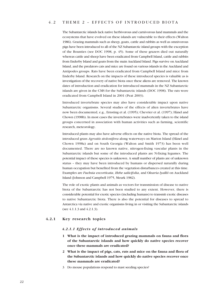# 4.2 THEME 2 - EFFECTS OF INTRODUCED BIOTA

The Subantarctic islands lack native herbivorous and carnivorous land mammals and the ecosystems that have evolved on these islands are vulnerable to their effects (Walton 1986). Grazing mammals such as sheep, goats, cattle and rabbits as well as omnivorous pigs have been introduced to all of the NZ Subantarctic island groups with the exception of the Bounties (see DOC 1998, p. 45). Some of these grazers died out naturally whereas cattle and sheep have been eradicated from Campbell Island, cattle and rabbits from Enderby Island and goats from the main Auckland Island. Pigs survive on Auckland Island, and the predators cats and mice are found on various islands in the Auckland and Antipodes groups. Rats have been eradicated from Campbell Island and mice from Enderby Island. Research on the impacts of these introduced species is valuable as is investigation of the recovery of native biota once these aliens are removed. The known dates of introduction and eradication for introduced mammals in the NZ Subantarctic islands are given in the CMS for the Subantarctic islands (DOC 1998). The rats were eradicated from Campbell Island in 2001 (Peat 2003).

Introduced invertebrate species may also have considerable impact upon native Subantarctic organisms. Several studies of the effects of alien invertebrates have now been documented, e.g., Ernsting et al. (1995); Chevrier et al. (1997); Hänel and Chown (1998b). In most cases the invertebrates were inadvertently taken to the island groups concerned in association with human activities such as farming, scientific research, meteorology.

Introduced plants may also have adverse effects on the native biota. The spread of the introduced grass Agrostis stolonifera along waterways on Marion Island (Hänel and Chown 1998a) and on South Georgia (Walton and Smith 1973) has been well documented. There are no known native, nitrogen-fixing vascular plants in the Subantarctic islands but some of the introduced plants are N-fixing legumes. The potential impact of these species is unknown. A small number of plants are of unknown status – they may have been introduced by humans or dispersed naturally during human occupation but benefited from the vegetation disturbances created at this time. Examples are Fuchsia excorticata, Hebe salicifolia, and Olearia lyallii on Auckland Island (Johnson and Campbell 1975, Meurk 1982).

The role of exotic plants and animals as vectors for transmission of disease to native biota of the Subantarctic has not been studied to any extent. However, there is considerable potential for exotic species (including humans) to transmit exotic diseases to native Subantarctic biota. There is also the potential for diseases to spread to Antarctica via native and exotic organisms living in or visiting the Subantarctic islands (see 4.1.1.3 and 4.2.1.3).

### 4.2.1 Key research topics

#### 4.2.1.1 Effects of introduced animals

- 1 What is the impact of introduced grazing mammals on fauna and flora of the Subantarctic islands and how quickly do native species recover once these mammals are eradicated?
- 2 What is the impact of pigs, cats, rats and mice on the fauna and flora of the Subantarctic islands and how quickly do native species recover once these mammals are eradicated?
- 3 Do mouse populations respond to mast seeding species?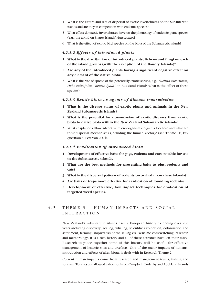- 4 What is the extent and rate of dispersal of exotic invertebrates on the Subantarctic islands and are they in competition with endemic species?
- 5 What effect do exotic invertebrates have on the phenology of endemic plant species (e.g., the aphid on Snares Islands' Anisotome)?
- 6 What is the effect of exotic bird species on the biota of the Subantarctic islands?

#### 4.2.1.2 Effects of introduced plants

- 1 What is the distribution of introduced plants, lichens and fungi on each of the island groups (with the exception of the Bounty Islands)?
- 2 Are any of the introduced plants having a significant negative effect on any element of the native biota?
- 3 What is the rate of spread of the potentially exotic shrubs, e.g., Fuchsia excorticata, Hebe salicifolia, Olearia lyallii on Auckland Island? What is the effect of these species?

#### 4.2.1.3 Exotic biota as agents of disease transmission

- 1 What is the disease status of exotic plants and animals in the New Zealand Subantarctic islands?
- 2 What is the potential for transmission of exotic diseases from exotic biota to native biota within the New Zealand Subantarctic islands?
- 3 What adaptations allow adventive micro-organisms to gain a foothold and what are their dispersal mechanisms (including the human vector)? (see Theme 1F, key questtion 3, Peterson 2004).

#### 4.2.1.4 Eradication of introduced biota

- 1 Development of effective baits for pigs, rodents and cats suitable for use in the Subantarctic islands.
- 2 What are the best methods for presenting baits to pigs, rodents and cats?
- 3 What is the dispersal pattern of rodents on arrival upon these islands?
- 4 Are baits or traps more effective for eradication of founding rodents?
- 5 Development of effective, low impact techniques for eradication of targetted weed species.

# 4.3 THEME 3 - HUMAN IMPACTS AND SOCIAL INTERACTION

New Zealand's Subantarctic islands have a European history extending over 200 years including discovery, sealing, whaling, scientific exploration, colonisation and settlement, farming, shipwrecks of the sailing era, wartime coastwatching, research and meteorology. It is a rich history and all of these activities have left their mark. Research to piece together some of this history will be useful for effective management of historic sites and artefacts. One of the major impacts of humans, introduction and effects of alien biota, is dealt with in Research Theme 2.

Current human impacts come from research and management teams, fishing and tourism. Tourists are allowed ashore only on Campbell, Enderby and Auckland Islands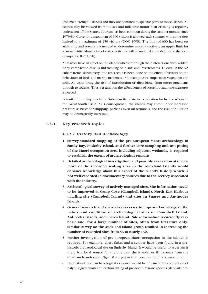(the main "refuge" islands) and they are confined to specific parts of those islands. All islands may be viewed from the sea and inflatable motor boat cruising is regularly undertaken off the Snares. Tourism has been common during the summer months since 1979/80. Currently a maximum of 600 visitors is allowed each summer with some sites limited to a maximum of 150 visitors (DOC 1998). The limit of 600 has been set arbitrarily and research is needed to determine more objectively an upper limit for seasonal visits. Monitoring of visitor activities will be undertaken to determine the level of impact (DOC 1998).

All visitors have an effect on the islands whether through their interactions with wildlife or by compaction of soils and treading on plants and invertebrates. To date, in the NZ Subantarctic islands, very little research has been done on the effect of visitors on the behaviours of birds and marine mammals or human physical impacts on vegetation and soils. All visits bring the risk of introduction of alien biota, from micro-organisms through to rodents. Thus, research on the effectiveness of present quarantine measures is needed.

Potential future impacts in the Subantarctic relate to exploration for hydrocarbons in the Great South Basin. As a consequence, the islands may come under increased pressure as bases for shipping, perhaps even oil terminals, and the risk of pollution may be dramatically increased.

# 4.3.1 Key research topics

### 4.3.1.1 History and archaeology

- 1 Survey-standard mapping of the pre-European Maori archaeology in Sandy Bay, Enderby Island, and further core sampling and test pitting of the Maori occupation area including adjacent wetlands, is required to establish the extent of archaeological remains.
- 2 Detailed archaeological investigation, and possibly excavation at one or more of the recorded sealing sites in the Auckland Islands would enhance knowledge about this aspect of the Island's history which is not well recorded in documentary sources due to the secrecy associated with the industry.
- 3 Archaeological survey of actively managed sites. Site information needs to be improved at Camp Cove (Campbell Island), North East Harbour whaling site (Campbell Island) and sites in Snares and Antipodes Islands.
- 4 General research and survey is necessary to improve knowledge of the nature and condition of archaeological sites on Campbell Island, Antipodes Islands, and Snares Island. Site information is currently very basic and, for a large number of sites, often from literature only. Similar survey on the Auckland Island group resulted in increasing the number of recorded sites from 53 to nearly 130.
- 5 Further investigation of pre-European Maori occupation in the islands is required. For example, chert flakes and a scraper have been found in a prehistoric archaeological site on Enderby Island. It would be useful to ascertain if there is a local source for the chert on the islands, or if it comes from the Chatham Islands (with Ngati Mutunga) or from some other unknown source.
- 6 Understanding of archaeological evidence would be enhanced by completion of palynological work and carbon dating of pre-bomb marine species (deposits pre-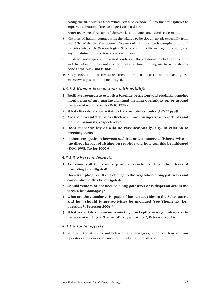dating the first nuclear tests which released carbon 14 into the atmosphere) to improve calibration of archaeological carbon dates.

- 7 Better recording of remains of shipwrecks at the Auckland Islands is desirable.
- 8 Histories of human contact with the islands to be documented, especially from unpublished first-hand accounts. Of particular importance is completion of oral histories with early Meteorological Service staff, wildlife management staff, and any remaining un-interviewed coastwatchers.
- 9 Heritage landscapes integrated studies of the relationships between people and the Subantarctic island environment over time building on the work already done at the Auckland Islands.
- 10 Any publication of historical research, and in particular the use of existing oral interview tapes, will be encouraged.

#### 4.3.1.2 Human interactions with wildlife

- 1 Facilitate research to establish baseline behaviour and establish ongoing monitoring of any marine mammal viewing operations on or around the Subantarctic islands (DOC 1998).
- 2 What effect do visitor activities have on bird colonies (DOC 1998)?
- 3 Are the 5 m and 7 m rules effective in minimising stress to seabirds and marine mammals, respectively?
- 4 Does susceptibility of wildlife vary seasonally, e.g., in relation to breeding cycle?
- 5 Is there competition between seabirds and commercial fishers? What is the direct impact of fishing on seabirds and how can this be mitigated (DOC 1998, Taylor 2000)?

#### 4.3.1.3 Physical impacts

- 1 Are some soil types more prone to erosion and can the effects of trampling be mitigated?
- 2 Does trampling result in a change to the vegetation along pathways and can or should this be mitigated?
- 3 Should visitors be channelled along pathways or is dispersal across the terrain less damaging?
- 4 What are the cumulative impacts of human activities in the Subantarctic and how should future activities be managed (see Theme 1F, key question 5, Peterson 2004)?
- 5 What is the fate of contaminants (e.g., fuel spills, sewage, microbes) in the Subantarctic (see Theme 3D, key question 2, Peterson 2004)?

#### 4.3.1.4 Social effects

1 What are the attitudes and behaviours of managers, scientists, tourists, tour operators and concessionaires to the Subantarctic islands?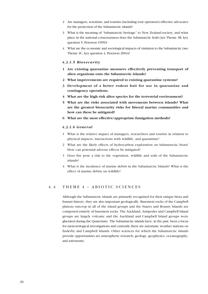- 2 Are managers, scientists, and tourists (including tour operators) effective advocates for the protection of the Subantarctic islands?
- 3 What is the meaning of "Subantarctic heritage" to New Zealand society, and what place in the national consciousness does the Subantarctic hold (see Theme 3B, key question 5, Peterson 1999)?
- 4 What are the economic and sociological impacts of visitation to the Subantarctic (see Theme 3C, key question 4, Peterson 2004)?

#### 4.3.1.5 Biosecurity

- 1 Are existing quarantine measures effectively preventing transport of alien organisms onto the Subantarctic islands?
- 2 What improvements are required to existing quarantine systems?
- 3 Development of a better rodent bait for use in quarantine and contingency operations.
- 4 What are the high risk alien species for the terrestrial environment?
- 5 What are the risks associated with movements between islands? What are the greatest biosecurity risks for littoral marine communities and how can these be mitigated?
- 6 What are the most effective/appropriate fumigation methods?

#### 4.3.1.6 General

- 1 What is the relative impact of managers, researchers and tourists in relation to physical impacts, interactions with wildlife, and quarantine?
- 2 What are the likely effects of hydrocarbon exploration on Subantarctic biota? How can potential adverse effects be mitigated?
- 3 Does fire pose a risk to the vegetation, wildlife and soils of the Subantarctic islands?
- 4 What is the incidence of marine debris in the Subantarctic Islands? What is the effect of marine debris on wildlife?

# 4.4 THEME 4 - ABIOTIC SCIENCES

Although the Subantarctic islands are primarily recognised for their unique biota and human history, they are also important geologically. Basement rocks of the Campbell plateau outcrop in all of the island groups and the Snares and Bounty Islands are composed entirely of basement rocks. The Auckland, Antipodes and Campbell Island groups are largely volcanic and the Auckland and Campbell Island groups were glaciated during the Quaternary. The Subantarctic islands have, in the past, been a focus for meteorological investigations and currently there are automatic weather stations on Enderby and Campbell Islands. Other sciences for which the Subantarctic islands provide opportunities are atmospheric research, geology, geophysics, oceanography, and astronomy.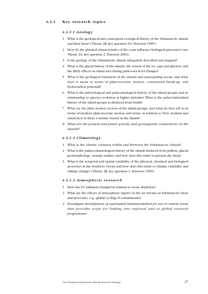# 4.4.1 Key research topics

### 4.4.1.1 Geology

- 1 What is the geological and consequent ecological history of the Subantarctic islands and their biota? (Theme 2B, key question 1D, Peterson 1999.)
- 2 How do the physical characteristics of the coast influence biological processes? (see Theme 2A, key question 2, Peterson 2004).
- 3 Is the geology of the Subantarctic islands adequately described and mapped?
- 4 What is the glacial history of the islands, the extent of the ice caps and glaciers, and the likely effects on island area during palaeo-sea level changes?
- 5 What is the geological basement of the islands and surrounding ocean, and what does it mean in terms of plate-tectonic motion, continental break-up, and hydrocarbon potential?
- 6 What is the palynological and palaeontological history of the island groups and its relationship to species evolution at higher latitudes? What is the palaeo-latitudinal history of the island groups as deduced from fossils?
- 7 What are the plate motion vectors of the island groups, and what do they tell us in terms of modern plate-tectonic motion and strain, in relation to New Zealand and Antarctica? Is there a seismic hazard in the islands?
- 8 What are the present and future gravity and geomagnetic connections on the islands?

# 4.4.1.2 Climatology

- 1 What is the climate variation within and between the Subantarctic islands?
- 2 What is the palaeo-climatological history of the islands deduced from pollens, glacial geomorphology, isotope studies, and how does this relate to present day biota?
- 3 What is the temporal and spatial variability of the physical, chemical and biological processes in the Southern Ocean and how does this relate to climate variability and climate change? (Theme 2B, key question 1, Peterson 1999).

#### 4.4.1.3 Atmospheric research

- 1 How has UV radiation changed in relation to ozone depletion?
- 2 What are the effects of atmospheric inputs via the jet stream on Subantarctic biota and processes, e.g., global cycling of contaminants?
- 3 Investigate development of automated instrumentation for use in remote areas that provides scope for linking into regional and or global research programmes.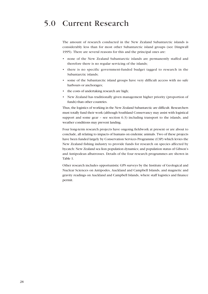# 5.0 Current Research

The amount of research conducted in the New Zealand Subantarctic islands is considerably less than for most other Subantarctic island groups (see Dingwall 1995). There are several reasons for this and the principal ones are:

- none of the New Zealand Subantarctic islands are permanently staffed and therefore there is no regular servicing of the islands;
- there is no specific government-funded budget tagged to research in the Subantarctic islands;
- some of the Subantarctic island groups have very difficult access with no safe harbours or anchorages;
- the costs of undertaking research are high;
- New Zealand has traditionally given management higher priority (proportion of funds) than other countries.

Thus, the logistics of working in the New Zealand Subantarctic are difficult. Researchers must totally fund their work (although Southland Conservancy may assist with logistical support and some gear  $-$  see section 6.3) including transport to the islands, and weather conditions may prevent landing.

Four long-term research projects have ongoing fieldwork at present or are about to conclude, all relating to impacts of humans on endemic animals. Two of these projects have been funded largely by Conservation Services Programme (CSP) which levies the New Zealand fishing industry to provide funds for research on species affected by bycatch: New Zealand sea lion population dynamics; and population status of Gibsonís and Antipodean albatrosses. Details of the four research programmes are shown in Table 1.

Other research includes opportunistic GPS surveys by the Institute of Geological and Nuclear Sciences on Antipodes, Auckland and Campbell Islands, and magnetic and gravity readings on Auckland and Campbell Islands, where staff logistics and finance permit.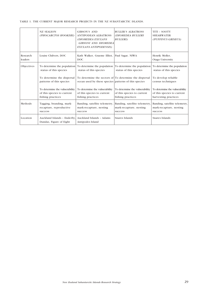|  |  |  |  |  |  |  | TABLE 1. THE CURRENT MAJOR RESEARCH PROJECTS IN THE NZ SUBANTARCTIC ISLANDS. |  |
|--|--|--|--|--|--|--|------------------------------------------------------------------------------|--|
|--|--|--|--|--|--|--|------------------------------------------------------------------------------|--|

|                     | <b>NZ SEALION</b><br>(PHOCARCTOS HOOKERI)                                         | GIBSON'S AND<br>ANTIPODEAN ALBATROSS<br>(DIOMEDEA EXULANS<br><b>GIBSONI AND DIOMEDEA</b><br><b>EXULANS ANTIPODENSIS)</b> | <b>BULLER'S ALBATROSS</b><br>(DIOMEDEA BULLERI<br><b>BULLERI</b> )                | TITI - SOOTY<br><b>SHEARWATER</b><br>(PUFFINUS GRISEUS)                              |
|---------------------|-----------------------------------------------------------------------------------|--------------------------------------------------------------------------------------------------------------------------|-----------------------------------------------------------------------------------|--------------------------------------------------------------------------------------|
| Research<br>leaders | Louise Chilvers, DOC                                                              | Kath Walker, Graeme Elliot, Paul Sagar, NIWA<br><b>DOC</b>                                                               |                                                                                   | Henrik Moller,<br>Otago University                                                   |
| Objectives          | To determine the population<br>status of this species                             | To determine the population<br>status of this species                                                                    | To determine the population<br>status of this species                             | To determine the population<br>status of this species                                |
|                     | To determine the dispersal<br>patterns of this species                            | To determine the sectors of To determine the dispersal<br>ocean used by these species patterns of this species           |                                                                                   | To develop reliable<br>census techniques                                             |
|                     | To determine the vulnerability<br>of this species to current<br>fishing practices | To determine the vulnerability<br>of this species to current<br>fishing practices                                        | To determine the vulnerability<br>of this species to current<br>fishing practices | To determine the vulnerability<br>of this species to current<br>harvesting practices |
| Methods             | Tagging, branding, mark-<br>recapture, reproductive<br>success                    | Banding, satellite telemetry,<br>mark-recapture, nesting<br>success                                                      | Banding, satellite telemetry<br>mark-recapture, nesting<br>success                | Banding, satellite telemetry,<br>mark-recapture, nesting<br>success                  |
| Location            | Auckland Islands - Enderby.<br>Dundas, Figure of Eight                            | Auckland Islands - Adams<br>Antipodes Island                                                                             | Snares Islands                                                                    | Snares Islands                                                                       |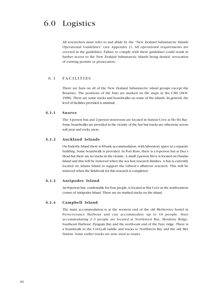All researchers must refer to and abide by the "New Zealand Subantarctic Islands Operational Guidelinesî (see Appendix 1). All operational requirements are covered in the guidelines. Failure to comply with these guidelines could result in further access to the New Zealand Subantarctic islands being denied, revocation of existing permits or prosecution.

# 6.1 FACILITIES

There are huts on all of the New Zealand Subantarctic island groups except the Bounties. The positions of the huts are marked on the maps in the CMS (DOC 1998). There are some tracks and boardwalks on some of the islands. In general, the level of facilities provided is minimal.

# 6.1.1 Snares

The 3-person hut and 2-person storeroom are located in Station Cove at Ho Ho Bay. Some boardwalks are provided in the vicinity of the hut but tracks are otherwise across soft peat and rocky areas.

# 6.1.2 Auckland Islands

On Enderby Island there is 8-bunk accommodation, with laboratory space in a separate building. Some boardwalk is provided. In Port Ross, there is a 6-person hut at Dea's Head but there are no tracks in the vicinity. A small 2-person bivvy is located on Dundas Island and this will be removed when the sea lion research finishes. A hut is currently located on Adams Island to support the Gibson's albatross research. This will be removed when the fieldwork for this research is completed.

# 6.1.3 Antipodes Island

An 8-person hut, comfortable for four people, is located at Hut Cove in the north-eastern corner of Antipodes Island. There are no marked tracks on the island.

### 6.1.4 Campbell Island

The main accommodation is at the western end of the old MetService hostel in Perseverance Harbour and can accommodate up to 10 people. Huts accommodating  $2-3$  people are located at Northwest Bay, Moubray Ridge, Southeast Harbour, Penguin Bay and the north-east end of the Faye ridge. There is a boardwalk to the Col-Lyall saddle and tracks to Northwest Bay and the old Met Station. Some earlier tracks are now used as routes.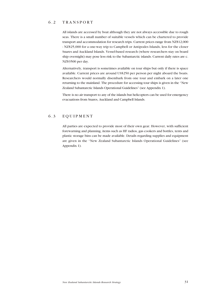# 6.2 TRANSPORT

All islands are accessed by boat although they are not always accessible due to rough seas. There is a small number of suitable vessels which can be chartered to provide transport and accommodation for research trips. Current prices range from NZ\$12,000 - NZ\$25,000 for a one-way trip to Campbell or Antipodes Islands, less for the closer Snares and Auckland Islands. Vessel-based research (where researchers stay on board ship overnight) may pose less risk to the Subantarctic islands. Current daily rates are c. NZ\$3500 per day.

Alternatively, transport is sometimes available on tour ships but only if there is space available. Current prices are around US\$250 per person per night aboard the boats. Researchers would normally disembark from one tour and embark on a later one returning to the mainland. The procedure for accessing tour ships is given in the "New Zealand Subantarctic Islands Operational Guidelines" (see Appendix 1).

There is no air transport to any of the islands but helicopters can be used for emergency evacuations from Snares, Auckland and Campbell Islands.

# 6.3 EQUIPMENT

All parties are expected to provide most of their own gear. However, with sufficient forewarning and planning, items such as HF radios, gas cookers and bottles, tents and plastic storage bins can be made available. Details regarding supplies and equipment are given in the "New Zealand Subantarctic Islands Operational Guidelines" (see Appendix 1).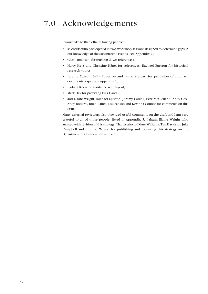# 7.0 Acknowledgements

I would like to thank the following people:

- ï scientists who participated in two workshop sessions designed to determine gaps in our knowledge of the Subantarctic islands (see Appendix 2);
- Glen Tomlinson for tracking down references;
- Harry Keys and Christine Hänel for references; Rachael Egerton for historical research topics;
- ï Jeremy Carroll, Sally Edgerton and Jamie Stewart for provision of ancillary documents, especially Appendix 1;
- Barbara Keen for assistance with layout;
- Mark Day for providing Figs 1 and 2;
- and Elaine Wright, Rachael Egerton, Jeremy Carroll, Pete McClelland, Andy Cox, Andy Roberts, Brian Rance, Lou Sanson and Kevin O'Connor for comments on this draft.

Many external reviewers also provided useful comments on the draft and I am very grateful to all of those people, listed in Appendix 5. I thank Elaine Wright who assisted with revision of this strategy. Thanks also to Diane Williams, Tim Davidson, Julie Campbell and Brenton Wilson for publishing and mounting this strategy on the Department of Conservation website.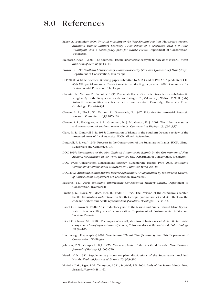# 8.0 References

- Baker, A. (compiler) 1999: Unusual mortality of the New Zealand sea lion, Phocarctos hookeri, Auckland Islands January-February 1998: report of a workshop held 8-9 June, Wellington, and a contingency plan for future events. Department of Conservation, Wellington.
- Bradford-Grieve, J. 2000: The Southern Plateau Subantarctic ecosystem: how does it work? Water and Atmosphere  $8(3)$ : 13-14.
- Brown, D. 1999: Southland Conservancy Island Biosecurity (Pest and Quarantine) Plan (draft). Department of Conservation, Invercargill.
- CEP 2000: Wildlife diseases. Working paper submitted by SCAR and COMNAP. Agenda Item CEP 4(d) XII Special Antarctic Treaty Consultative Meeting, September 2000. Committee for Environmental Protection, The Hague.
- Chevrier, M., Vernon, P., Frenot, Y. 1997: Potential effects of two alien insects on a sub-Antarctic wingless fly in the Kerguelen islands. *In:* Battaglia, B., Valencia, J., Walton, D.W.H. (eds) Antarctic communities: species, structure and survival. Cambridge University Press, Cambridge. Pp. 424-431.
- Chown, S. L., Block, W., Vernon, P., Greenslade, P. 1997: Priorities for terrestrial Antarctic research. Polar Record 33:187-188.
- Chown, S. L., Rodriguez, A. S. L., Gremmen, N. J. M., Gaston, K. J. 2001: World heritage status and conservation of southern ocean islands. Conservation Biology 15: 550-557.
- Clark, M. R., Dingwall P. R. 1985: Conservation of islands in the Southern Ocean: a review of the protected areas of Insulantarctica. IUCN, Gland, Switzerland.
- Dingwall, P. R. (ed.) 1995: Progress in the Conservation of the Subantarctic Islands. IUCN. Gland, Switzerland and Cambridge, UK.
- DOC 1997: Nomination of the New Zealand Subantarctic Islands by the Government of New Zealand for Inclusion in the World Heritage List. Department of Conservation, Wellington.
- DOC 1998: Conservation Management Strategy. Subantarctic Islands 1998-2008. Southland Conservancy Conservation Management Planning Series No. 10.
- DOC 2002: Auckland Islands Marine Reserve Application: An application by the Director-General of Conservation. Department of Conservation, Invercargill.
- Edwards, E.D. 2001: Southland Invertebrate Conservation Strategy (draft). Department of Conservation, Invercargill.
- Ernsting, G., Block, W., MacAlister, H., Todd, C. 1995: The invasion of the carnivorous carabid beetle Trechisibus antarcticus on South Georgia (sub-Antarctic) and its effect on the endemic herbivorous beetle Hydromedion spasutum. Oecologia 103: 34-42.
- Hänel, C., Chown, S. 1998a: An introductory guide to the Marion and Prince Edward Island Special Nature Reserves 50 years after annexation. Department of Environmental Affairs and Tourism, Pretoria.
- Hänel, C., Chown, S.L. 1998b: The impact of a small, alien invertebrate on a sub-Antarctic terrestrial ecosystem: Limnophyes minimus (Diptera, Chironomidae) at Marion Island. Polar Biology 20: 99-106.
- Hitchmough, R. (compiler) 2002: New Zealand Threat Classification System Lists. Department of Conservation, Wellington.
- Johnson, P.N., Campbell, D.J. 1975: Vascular plants of the Auckland Islands. New Zealand Journal of Botany  $13:665-720$ .
- Meurk, C.D. 1982: Supplementary notes on plant distributions of the Subantarctic Auckland Islands. Zealand Journal of Botany 20: 373-380.
- Miskelly C.M., Sagar, P.M., Tennyson, A.J.D., Scofield, R.P. 2001: Birds of the Snares Islands, New Zealand. Notornis 48:1-40.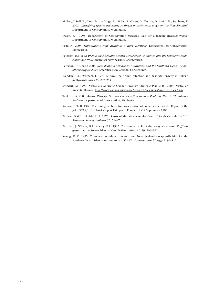- Molloy, J., Bell, B., Clout, M., de Lange, P., Gibbs, G., Given, D., Norton, D., Smith, N., Stephens, T. 2002: Classifying species according to threat of extinction: a system for New Zealand. Department of Conservation, Wellington.
- Owen, S.-J. 1998: Department of Conservation Strategic Plan for Managing Invasive weeds. Department of Conservation, Wellington.
- Peat, N. 2003: Subantarctic New Zealand: a Rare Heritage. Department of Conservation, Invercargill.
- Peterson, D.B. (ed.) 1999: A New Zealand Science Strategy for Antarctica and the Southern Ocean; November 1998. Antarctica New Zealand, Christchurch.
- Peterson, D.B. (ed.) 2004: New Zealand Science in Antarctica and the Southern Ocean (2004- 2009); August 2004. Antarctica New Zealand, Christchurch.
- Richdale, L.E., Warham, J. 1973: Survival, pair bond retention and nest site tenacity in Bullerís mollymawk. Ibis 115: 257-263.
- Stoddart, M. 1999: Australia's Antarctic Science Program Strategic Plan 2000-2005. Australian Antarctic Division. http://www.aad.gov.au/science/Research/Resources/green/gn\_tocY2.asp
- Taylor, G.A. 2000: Action Plan for Seabird Conservation in New Zealand. Part A: Threatened Seabirds. Department of Conservation, Wellington.
- Walton, D.W.H. 1986: The biological basis for conservation of Subantarctic islands. Report of the Joint SCAR/IUCN Workshop at Paimpont, France. 12-14 September 1986.
- Walton, D.W.H., Smith, R.I.L 1973: Status of the alien vascular flora of South Georgia. British Antarctic Survey Bulletin 36: 79-97.
- Warham, J. Wilson, G.J., Keeley, B.R. 1982: The annual cycle of the sooty shearwater *Puffinus* griseus at the Snares Islands, New Zealand. Notornis 29: 269-292.
- Young, E. C. 1995: Conservation values, research and New Zealand's responsibilities for the Southern Ocean islands and Antarctica. Pacific Conservation Biology 2: 99-112.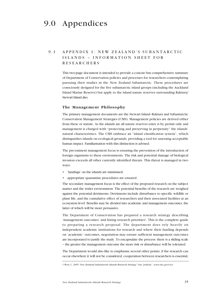# 9.0 Appendices

# 9.1 APPENDIX 1: NEW ZEALANDíS SUBANTARCTIC ISLANDS - INFORMATION SHEET FOR RESEARCHERS

This two-page document is intended to provide a concise but comprehensive summary of Department of Conservation policies and processes for researchers contemplating pursuing their studies in the New Zealand Subantarctic. These procedures are consciously designed for the five subantarctic island groups (including the Auckland Island Marine Reserve) but apply to the island nature reserves surrounding Rakiura/ Stewart Island also.

#### The Management Philosophy

The primary management documents are the Stewart Island-Rakiura and Subantarctic Conservation Management Strategies (CMS). Management policies are derived either from these or statute. As the islands are all nature reserves entry is by permit only and management is charged with "protecting and preserving in perpetuity" the islands' natural characteristics. The CMS embrace an "island classification system", which distinguishes islands on ecological grounds, providing a tool for assessing acceptable human impact. Familiarisation with this distinction is advised.

The pre-eminent management focus is ensuring the prevention of the introduction of foreign organisms to these environments. The risk and potential damage of biological invasion exceeds all other currently identified threats. This threat is managed in two ways:

- 'landings' on the islands are minimised;
- appropriate quarantine procedures are ensured.

The secondary management focus is the effect of the proposed research on the subject matter and the wider environment. The potential benefits of the research are weighed against the potential detriments. Detriments include disturbance to specific wildlife or plant life, and the cumulative effect of researchers and their associated facilities at an ecosystem level. Benefits may be divided into academic and management outcomes, the latter of which will be more persuasive.

The Department of Conservation has prepared a research strategy describing 'management outcomes' and listing research priorities<sup>1</sup>. This is the complete guide to preparing a research proposal. The department does rely heavily on independent academic institutions for research and where their funding depends on 'academic' outcomes, negotiation may ensure sufficient management outcomes are incorporated to justify the study. To encapsulate the process: there is a sliding scale - the greater the management outcome the more risk or disturbance will be tolerated.

The Department would also like to emphasise several other points: if the research can occur elsewhere it will not be considered, cooperation between researchers is essential,

<sup>1</sup> West, C. 2005 'New Zealand Subantarctic Islands Research Strategy" (see 'policies' - www.doc.govt.nz)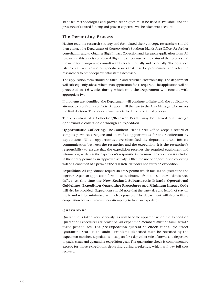standard methodologies and proven techniques must be used if available; and the presence of assured funding and proven expertise will be taken into account.

#### The Permitting Process

Having read the research strategy and formulated their concept, researchers should then contact the Department of Conservation's Southern Islands Area Office, for further consultation and to obtain a High Impact Collection and Research application form. All research in this area is considered High Impact because of the status of the reserves and the need for managers to consult widely both internally and externally. The Southern Islands staff will advise on specific issues that may be problematic and refer the researchers to other departmental staff if necessary.

The application form should be filled in and returned electronically. The department will subsequently advise whether an application fee is required. The application will be processed in 4-6 weeks during which time the Department will consult with appropriate Iwi.

If problems are identified, the Department will continue to liaise with the applicant to attempt to rectify any conflicts. A report will then go to the Area Manager who makes the final decision. This person remains detached from the initial process.

The execution of a Collection/Research Permit may be carried out through opportunistic collection or through an expedition.

Opportunistic Collecting: The Southern Islands Area Office keeps a record of samples permitees require and identifies opportunities for their collection by expeditions. When opportunities are identified the department will initiate communication between the researcher and the expedition. It is the researcher's responsibility to ensure that the expedition receives the required equipment and information, while it is the expedition's responsibility to ensure the collection is included in their entry permit as an 'approved activity'. Often the use of opportunistic collecting will be a condition of a permit if the research itself does not justify an expedition.

Expedition: All expeditions require an entry permit which focuses on quarantine and logistics. Again an application form must be obtained from the Southern Islands Area Office. At this time the New Zealand Subantarctic Islands Operational Guidelines, Expedition Quarantine Procedures and Minimum Impact Code will also be provided. Expeditions should note that the party size and length of stay on the island will be minimised as much as possible. The department will also facilitate cooperation between researchers attempting to fund an expedition.

#### Quarantine

Quarantine is taken very seriously, as will become apparent when the Expedition Quarantine Procedures are provided. All expedition members must be familiar with these procedures. The pre-expedition quarantine check at the Eye Street Quarantine Store is an 'audit'. Problems identified must be rectified by the expedition member. Expeditions must plan for a day either side of arrival and departure to pack, clean and quarantine expedition gear. The quarantine check is complimentary except for those expeditions departing during weekends, which will pay full cost recovery.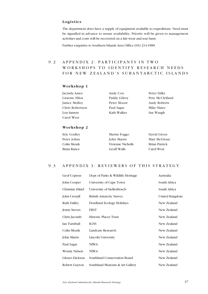# Logistics

The department does have a supply of equipment available to expeditions. Need must be signalled in advance to assure availability. Priority will be given to management activities and costs will be recovered on a fair wear and tear basis.

Further enquiries to Southern Islands Area Office (03) 214-4589.

# 9.2 APPENDIX 2: PARTICIPANTS IN TWO WORKSHOPS TO IDENTIFY RESEARCH NEEDS FOR NEW ZEALAND'S SUBANTARCTIC ISLANDS

### Workshop 1

| Jacinda Amey         | Andy Cox     | Peter Dilks         |
|----------------------|--------------|---------------------|
| Graeme Elliot        | Paddy Gilrov | Pete McClelland     |
| <b>Janice Molloy</b> | Peter Moore  | <b>Andy Roberts</b> |
| Chris Robertson      | Paul Sagar   | Mike Slater         |
| Lou Sanson           | Kath Walker  | Sue Waugh           |
| <b>Carol West</b>    |              |                     |

#### Workshop 2

| Eric Godley | Martin Foggo       | David Given   |
|-------------|--------------------|---------------|
| Peter Johns | John Marris        | Matt McGlone  |
| Colin Meurk | Vivienne Nicholls  | Brian Patrick |
| Brian Rance | <b>Geoff Walls</b> | Carol West    |

# 9.3 APPENDIX 3: REVIEWERS OF THIS STRATEGY

| Geof Copson           | Dept of Parks & Wildlife Heritage | Australia      |
|-----------------------|-----------------------------------|----------------|
| John Cooper           | University of Cape Town           | South Africa   |
| Christine Hänel       | University of Stellenbosch        | South Africa   |
| John Croxall          | <b>British Antarctic Survey</b>   | United Kingdom |
| <b>Ruth Dalley</b>    | <b>Fiordland Ecology Holidays</b> | New Zealand    |
| <b>Jenny Steven</b>   | <b>FRST</b>                       | New Zealand    |
| Chris Jacomb          | <b>Historic Places Trust</b>      | New Zealand    |
| Ian Turnbull          | <b>IGNS</b>                       | New Zealand    |
| Colin Meurk           | Landcare Research                 | New Zealand    |
| <b>John Marris</b>    | Lincoln University                | New Zealand    |
| Paul Sagar            | <b>NIWA</b>                       | New Zealand    |
| <b>Wendy Nelson</b>   | <b>NIWA</b>                       | New Zealand    |
| <b>Glenys Dickson</b> | Southland Conservation Board      | New Zealand    |
| Robert Guyton         | Southland Museum & Art Gallery    | New Zealand    |